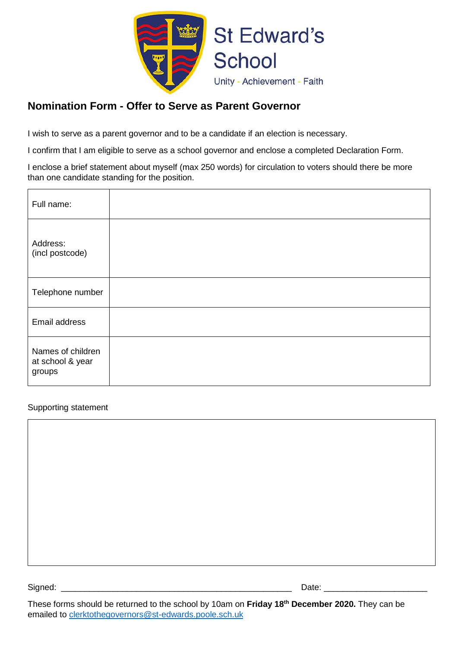

# **Nomination Form - Offer to Serve as Parent Governor**

I wish to serve as a parent governor and to be a candidate if an election is necessary.

I confirm that I am eligible to serve as a school governor and enclose a completed Declaration Form.

I enclose a brief statement about myself (max 250 words) for circulation to voters should there be more than one candidate standing for the position.

| Full name:                                      |  |
|-------------------------------------------------|--|
| Address:<br>(incl postcode)                     |  |
| Telephone number                                |  |
| Email address                                   |  |
| Names of children<br>at school & year<br>groups |  |

#### Supporting statement

These forms should be returned to the school by 10am on **Friday 18th December 2020.** They can be emailed to [clerktothegovernors@st-edwards.poole.sch.uk](mailto:clerktothegovernors@st-edwards.poole.sch.uk)